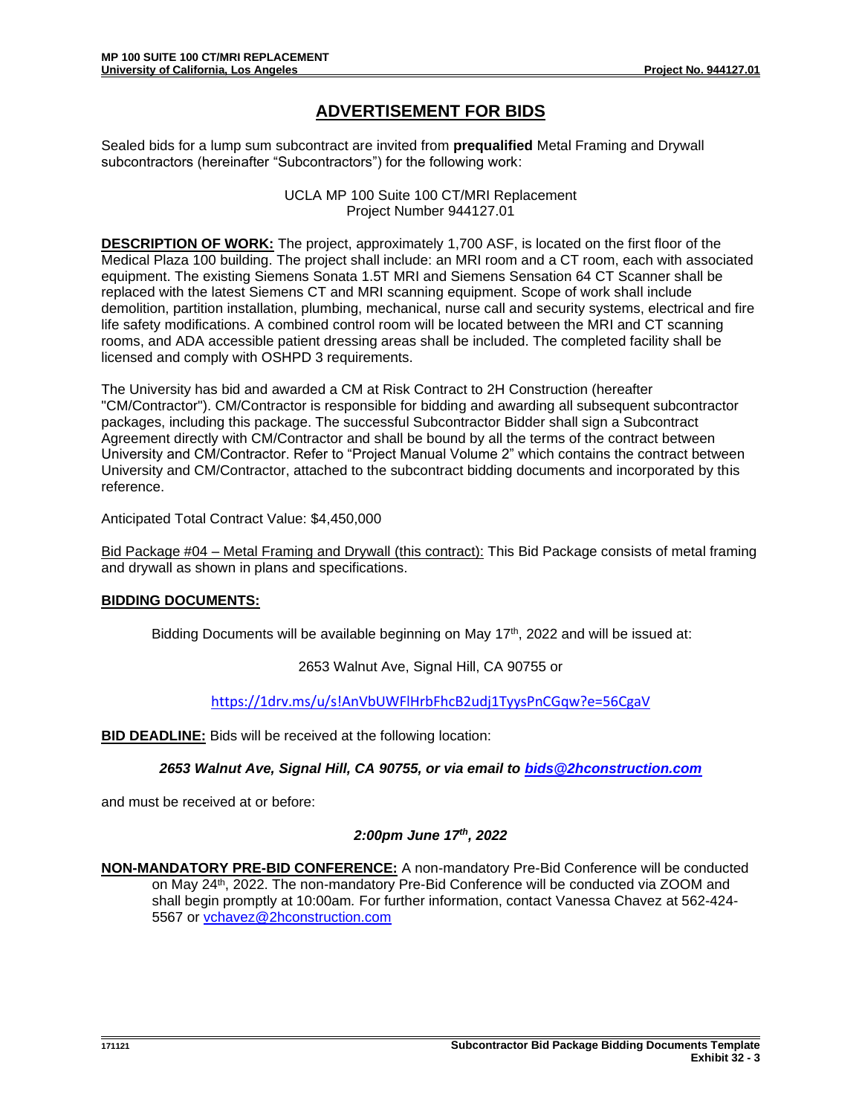## **ADVERTISEMENT FOR BIDS**

Sealed bids for a lump sum subcontract are invited from **prequalified** Metal Framing and Drywall subcontractors (hereinafter "Subcontractors") for the following work:

> UCLA MP 100 Suite 100 CT/MRI Replacement Project Number 944127.01

**DESCRIPTION OF WORK:** The project, approximately 1,700 ASF, is located on the first floor of the Medical Plaza 100 building. The project shall include: an MRI room and a CT room, each with associated equipment. The existing Siemens Sonata 1.5T MRI and Siemens Sensation 64 CT Scanner shall be replaced with the latest Siemens CT and MRI scanning equipment. Scope of work shall include demolition, partition installation, plumbing, mechanical, nurse call and security systems, electrical and fire life safety modifications. A combined control room will be located between the MRI and CT scanning rooms, and ADA accessible patient dressing areas shall be included. The completed facility shall be licensed and comply with OSHPD 3 requirements.

The University has bid and awarded a CM at Risk Contract to 2H Construction (hereafter "CM/Contractor"). CM/Contractor is responsible for bidding and awarding all subsequent subcontractor packages, including this package. The successful Subcontractor Bidder shall sign a Subcontract Agreement directly with CM/Contractor and shall be bound by all the terms of the contract between University and CM/Contractor. Refer to "Project Manual Volume 2" which contains the contract between University and CM/Contractor, attached to the subcontract bidding documents and incorporated by this reference.

Anticipated Total Contract Value: \$4,450,000

Bid Package #04 – Metal Framing and Drywall (this contract): This Bid Package consists of metal framing and drywall as shown in plans and specifications.

## **BIDDING DOCUMENTS:**

Bidding Documents will be available beginning on May  $17<sup>th</sup>$ , 2022 and will be issued at:

2653 Walnut Ave, Signal Hill, CA 90755 or

<https://1drv.ms/u/s!AnVbUWFlHrbFhcB2udj1TyysPnCGqw?e=56CgaV>

**BID DEADLINE:** Bids will be received at the following location:

*2653 Walnut Ave, Signal Hill, CA 90755, or via email to [bids@2hconstruction.com](mailto:bids@2hconstruction.com)*

and must be received at or before:

## *2:00pm June 17th, 2022*

**NON-MANDATORY PRE-BID CONFERENCE:** A non-mandatory Pre-Bid Conference will be conducted on May 24<sup>th</sup>, 2022. The non-mandatory Pre-Bid Conference will be conducted via ZOOM and shall begin promptly at 10:00am*.* For further information, contact Vanessa Chavez at 562-424- 5567 or [vchavez@2hconstruction.com](mailto:vchavez@2hconstruction.com)